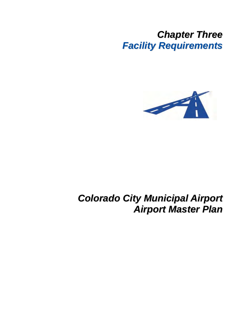## *Chapter Three Facility Requirements*



## *Colorado City Municipal Airport Airport Master Plan*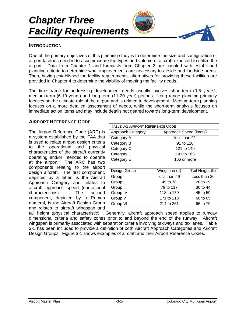# *Chapter Three Facility Requirements*



## **INTRODUCTION**

One of the primary objectives of this planning study is to determine the size and configuration of airport facilities needed to accommodate the types and volume of aircraft expected to utilize the airport. Data from Chapter 1 and forecasts from Chapter 2 are coupled with established planning criteria to determine what improvements are necessary to airside and landside areas. Then, having established the facility requirements, alternatives for providing these facilities are provided in Chapter 4 to determine the viability of meeting the facility needs.

The time frame for addressing development needs usually involves short-term (0-5 years), medium-term (6-10 years) and long-term (11-20 year) periods. Long range planning primarily focuses on the ultimate role of the airport and is related to development. Medium-term planning focuses on a more detailed assessment of needs, while the short-term analysis focuses on immediate action items and may include details not geared towards long-term development.

## **AIRPORT REFERENCE CODE**

The Airport Reference Code (ARC) is a system established by the FAA that is used to relate airport design criteria to the operational and physical characteristics of the aircraft currently operating and/or intended to operate at the airport. The ARC has two components relating to the airport design aircraft. The first component, depicted by a letter, is the Aircraft Approach Category and relates to aircraft approach speed (operational characteristics). The second component, depicted by a Roman numeral, is the Aircraft Design Group and relates to aircraft wingspan and

| TABLE 3-1 AIRPORT REFERENCE CODE |                        |                  |  |
|----------------------------------|------------------------|------------------|--|
| Approach Category                | Approach Speed (knots) |                  |  |
| Category A                       | less than 91           |                  |  |
| Category B                       | 91 to 120              |                  |  |
| Category C                       | 121 to 140             |                  |  |
| Category D                       | 141 to 165             |                  |  |
| Category E                       | 166 or more            |                  |  |
|                                  |                        |                  |  |
| Design Group                     | Wingspan (ft)          | Tail Height (ft) |  |
| Group I                          | less than 49           | Less than 20     |  |
| Group II                         | 20 to 29<br>49 to 78   |                  |  |
| Group III                        | 79 to 117<br>30 to 44  |                  |  |
| Group IV                         | 118 to 170<br>45 to 59 |                  |  |
| Group V                          | 171 to 213<br>60 to 65 |                  |  |
| Group VI                         | 214 to 261<br>66 to 79 |                  |  |

tail height (physical characteristic). Generally, aircraft approach speed applies to runway dimensional criteria and safety zones prior to and beyond the end of the runway. Aircraft wingspan is primarily associated with separation criteria involving taxiways and taxilanes. Table 3-1 has been included to provide a definition of both Aircraft Approach Categories and Aircraft Design Groups. Figure 3-1 shows examples of aircraft and their Airport Reference Codes.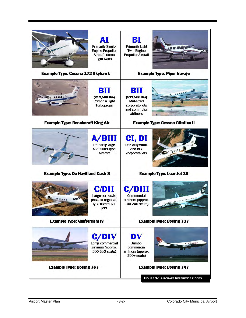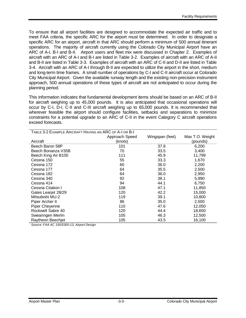To ensure that all airport facilities are designed to accommodate the expected air traffic and to meet FAA criteria, the specific ARC for the airport must be determined. In order to designate a specific ARC for an airport, aircraft in that ARC should perform a minimum of 500 annual itinerant operations. The majority of aircraft currently using the Colorado City Municipal Airport have an ARC of A-I, B-I and B-II. Airport users and fleet mix were discussed in Chapter 2. Examples of aircraft with an ARC of A-I and B-I are listed in Table 3-2. Examples of aircraft with an ARC of A-II and B-II are listed in Table 3-3. Examples of aircraft with an ARC of C-II and D-II are listed in Table 3-4. Aircraft with an ARC of A-I through B-II are expected to utilize the airport in the short, medium and long-term time frames. A small number of operations by C-I and C-II aircraft occur at Colorado City Municipal Airport. Given the available runway length and the existing non-precision instrument approach, 500 annual operations of these types of aircraft are not anticipated to occur during the planning period.

This information indicates that fundamental development items should be based on an ARC of B-II for aircraft weighing up to 45,000 pounds. It is also anticipated that occasional operations will occur by C-I, D-I, C-II and C-III aircraft weighing up to 65,000 pounds. It is recommended that wherever feasible the airport should configure facilities, setbacks and separations to minimize constraints for a potential upgrade to an ARC of C-II in the event Category C aircraft operations exceed forecasts.

| TABLE 3-2 EXAMPLE AIRCRAFT HAVING AN ARC OF A-I OR B-I |                |                 |                 |
|--------------------------------------------------------|----------------|-----------------|-----------------|
|                                                        | Approach Speed | Wingspan (feet) | Max T.O. Weight |
| Aircraft                                               | (knots)        |                 | (pounds)        |
| Beech Baron 58P                                        | 101            | 37.8            | 6,200           |
| Beech Bonanza V35B                                     | 70             | 33.5            | 3,400           |
| Beech King Air B100                                    | 111            | 45.9            | 11,799          |
| Cessna 150                                             | 55             | 33.3            | 1,670           |
| Cessna 172                                             | 60             | 36.0            | 2,200           |
| Cessna 177                                             | 64             | 35.5            | 2,500           |
| Cessna 182                                             | 64             | 36.0            | 2,950           |
| Cessna 340                                             | 92             | 38.1            | 5,990           |
| Cessna 414                                             | 94             | 44.1            | 6,750           |
| Cessna Citation I                                      | 108            | 47.1            | 11,850          |
| Gates Learjet 28/29                                    | 120            | 42.2            | 15,000          |
| Mitsubishi MU-2                                        | 119            | 39.1            | 10,800          |
| Piper Archer II                                        | 86             | 35.0            | 2,500           |
| Piper Cheyenne                                         | 110            | 47.6            | 12,050          |
| Rockwell Sabre 40                                      | 120            | 44.4            | 18,650          |
| Swearingen Merlin                                      | 105            | 46.3            | 12,500          |
| Raytheon Beechjet                                      | 105            | 43.5            | 16,100          |

*Source: FAA AC 150/5300-13, Airport Design*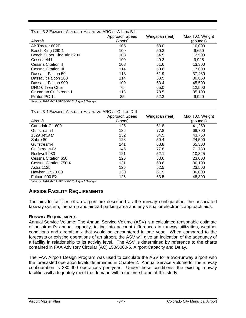| TABLE 3-3 EXAMPLE AIRCRAFT HAVING AN ARC OF A-II OR B-II |                |                 |                 |
|----------------------------------------------------------|----------------|-----------------|-----------------|
|                                                          | Approach Speed | Wingspan (feet) | Max T.O. Weight |
| Aircraft                                                 | (knots)        |                 | (pounds)        |
| Air Tractor 802F                                         | 105            | 58.0            | 16,000          |
| Beech King C90-1                                         | 100            | 50.3            | 9,650           |
| Beech Super King Air B200                                | 103            | 54.5            | 12,500          |
| Cessna 441                                               | 100            | 49.3            | 9.925           |
| Cessna Citation II                                       | 108            | 51.6            | 13,300          |
| Cessna Citation III                                      | 114            | 50.6            | 17.000          |
| Dassault Falcon 50                                       | 113            | 61.9            | 37,480          |
| Dassault Falcon 200                                      | 114            | 53.5            | 30,650          |
| Dassault Falcon 900                                      | 100            | 63.4            | 45.500          |
| DHC-6 Twin Otter                                         | 75             | 65.0            | 12,500          |
| Grumman Gulfstream I                                     | 113            | 78.5            | 35,100          |
| Pilatus PC-12                                            | 85             | 52.3            | 9,920           |

*Source: FAA AC 150/5300-13, Airport Design* 

| TABLE 3-4 EXAMPLE AIRCRAFT HAVING AN ARC OF C-II OR D-II |                |                 |                 |
|----------------------------------------------------------|----------------|-----------------|-----------------|
|                                                          | Approach Speed | Wingspan (feet) | Max T.O. Weight |
| Aircraft                                                 | (knots)        |                 | (pounds)        |
| Canadair CL-600                                          | 125            | 61.8            | 41,250          |
| Gulfstream-III                                           | 136            | 77.8            | 68,700          |
| 1329 JetStar                                             | 132            | 54.5            | 43,750          |
| Sabre 80                                                 | 128            | 50.4            | 24,500          |
| Gulfstream-II                                            | 141            | 68.8            | 65,300          |
| Gulfstream-IV                                            | 145            | 77.8            | 71.780          |
| Rockwell 980                                             | 121            | 52.1            | 10.325          |
| Cessna Citation 650                                      | 126            | 53.6            | 23,000          |
| Cessna Citation 750 X                                    | 131            | 63.6            | 36.100          |
| Astra 1125                                               | 126            | 52.5            | 23,500          |
| Hawker 125-1000                                          | 130            | 61.9            | 36,000          |
| Falcon 900 EX                                            | 126            | 63.5            | 48.300          |

*Source: FAA AC 150/5300-13, Airport Design* 

## **AIRSIDE FACILITY REQUIREMENTS**

The airside facilities of an airport are described as the runway configuration, the associated taxiway system, the ramp and aircraft parking area and any visual or electronic approach aids.

#### **RUNWAY REQUIREMENTS**

Annual Service Volume: The Annual Service Volume (ASV) is a calculated reasonable estimate of an airport's annual capacity; taking into account differences in runway utilization, weather conditions and aircraft mix that would be encountered in one year. When compared to the forecasts or existing operations of an airport, the ASV will give an indication of the adequacy of a facility in relationship to its activity level. The ASV is determined by reference to the charts contained in FAA Advisory Circular (AC) 150/5060-5, Airport Capacity and Delay.

The FAA Airport Design Program was used to calculate the ASV for a two-runway airport with the forecasted operation levels determined in Chapter 2. Annual Service Volume for the runway configuration is 230,000 operations per year. Under these conditions, the existing runway facilities will adequately meet the demand within the time frame of this study.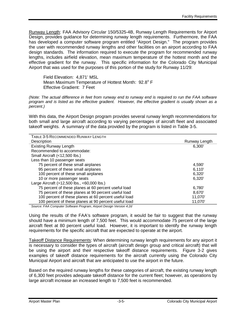Runway Length: FAA Advisory Circular 150/5325-4B, Runway Length Requirements for Airport Design, provides guidance for determining runway length requirements. Furthermore, the FAA has developed a computer software program entitled "Airport Design." The program provides the user with recommended runway lengths and other facilities on an airport according to FAA design standards. The information required to execute the program for recommended runway lengths, includes airfield elevation, mean maximum temperature of the hottest month and the effective gradient for the runway. This specific information for the Colorado City Municipal Airport that was used for the purposes of this portion of the study for Runway 11/29:

Field Elevation: 4,871' MSL Mean Maximum Temperature of Hottest Month:  $92.8^{\circ}$  F Effective Gradient: 7 Feet

*(Note: The actual difference in feet from runway end to runway end is required to run the FAA software program and is listed as the effective gradient. However, the effective gradient is usually shown as a percent.)* 

With this data, the Airport Design program provides several runway length recommendations for both small and large aircraft according to varying percentages of aircraft fleet and associated takeoff weights. A summary of the data provided by the program is listed in Table 3-5.

| TABLE 3-5 RECOMMENDED RUNWAY LENGTH                   |               |
|-------------------------------------------------------|---------------|
| Description                                           | Runway Length |
| <b>Existing Runway Length</b>                         | 6.300'        |
| Recommended to accommodate:                           |               |
| Small Aircraft (<12,500 lbs.)                         |               |
| Less than 10 passenger seats                          |               |
| 75 percent of these small airplanes                   | 4,590         |
| 95 percent of these small airplanes                   | 6.110'        |
| 100 percent of these small airplanes                  | 6,320'        |
| 10 or more passenger seats                            | 6.320'        |
| Large Aircraft (>12,500 lbs., <60,000 lbs.)           |               |
| 75 percent of these planes at 60 percent useful load  | 6,780         |
| 75 percent of these planes at 90 percent useful load  | 8,670         |
| 100 percent of these planes at 60 percent useful load | 11.070        |
| 100 percent of these planes at 90 percent useful load | 11,070        |

*Source: FAA Computer Software Program, Airport Design Version 4.2d* 

Using the results of the FAA's software program, it would be fair to suggest that the runway should have a minimum length of 7,500 feet. This would accommodate 75 percent of the large aircraft fleet at 80 percent useful load. However, it is important to identify the runway length requirements for the specific aircraft that are expected to operate at the airport.

Takeoff Distance Requirements: When determining runway length requirements for any airport it is necessary to consider the types of aircraft (aircraft design group and critical aircraft) that will be using the airport and their respective takeoff distance requirements. Figure 3-2 gives examples of takeoff distance requirements for the aircraft currently using the Colorado City Municipal Airport and aircraft that are anticipated to use the airport in the future.

Based on the required runway lengths for these categories of aircraft, the existing runway length of 6,300 feet provides adequate takeoff distance for the current fleet; however, as operations by large aircraft increase an increased length to 7,500 feet is recommended.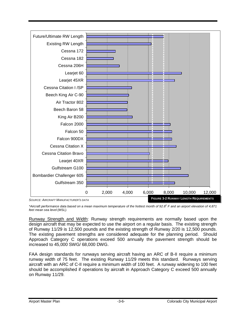

\*Aircraft performance data based on a mean maximum temperature of the hottest month of 92.8° F and an airport elevation of 4,871 *feet mean sea level (MSL).*

Runway Strength and Width: Runway strength requirements are normally based upon the design aircraft that may be expected to use the airport on a regular basis. The existing strength of Runway 11/29 is 12,500 pounds and the existing strength of Runway 2/20 is 12,500 pounds. The existing pavement strengths are considered adequate for the planning period. Should Approach Category C operations exceed 500 annually the pavement strength should be increased to 45,000 SWG/ 68,000 DWG.

FAA design standards for runways serving aircraft having an ARC of B-II require a minimum runway width of 75 feet. The existing Runway 11/29 meets this standard. Runways serving aircraft with an ARC of C-II require a minimum width of 100 feet. A runway widening to 100 feet should be accomplished if operations by aircraft in Approach Category C exceed 500 annually on Runway 11/29.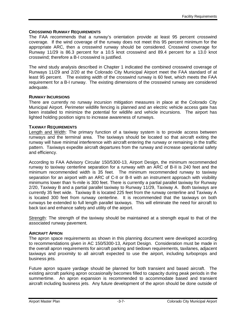#### **CROSSWIND RUNWAY REQUIREMENTS**

The FAA recommends that a runway's orientation provide at least 95 percent crosswind coverage. If the wind coverage of the runway does not meet this 95 percent minimum for the appropriate ARC, then a crosswind runway should be considered. Crosswind coverage for Runway 11/29 is 86.3 percent for a 10.5 knot crosswind and 89.4 percent for a 13.0 knot crosswind; therefore a B-I crosswind is justified.

The wind study analysis described in Chapter 1 indicated the combined crosswind coverage of Runways 11/29 and 2/20 at the Colorado City Municipal Airport meet the FAA standard of at least 95 percent. The existing width of the crosswind runway is 60 feet, which meets the FAA requirement for a B-I runway. The existing dimensions of the crosswind runway are considered adequate.

#### **RUNWAY INCURSIONS**

There are currently no runway incursion mitigation measures in place at the Colorado City Municipal Airport. Perimeter wildlife fencing is planned and an electric vehicle access gate has been installed to minimize the potential for wildlife and vehicle incursions. The airport has lighted holding position signs to increase awareness of runways.

#### **TAXIWAY REQUIREMENTS**

Length and Width: The primary function of a taxiway system is to provide access between runways and the terminal area. The taxiways should be located so that aircraft exiting the runway will have minimal interference with aircraft entering the runway or remaining in the traffic pattern. Taxiways expedite aircraft departures from the runway and increase operational safety and efficiency.

According to FAA Advisory Circular 150/5300-13, Airport Design, the minimum recommended runway to taxiway centerline separation for a runway with an ARC of B-II is 240 feet and the minimum recommended width is 35 feet. The minimum recommended runway to taxiway separation for an airport with an ARC of C-II or B-II with an instrument approach with visibility minimums lower than  $\frac{3}{4}$ -mile is 300 feet. There is currently a partial parallel taxiway for Runway 2/20, Taxiway B and a partial parallel taxiway to Runway 11/29, Taxiway A. Both taxiways are currently 35 feet wide. Taxiway B is located 225 feet from the runway centerline and Taxiway A is located 300 feet from runway centerline. It is recommended that the taxiways on both runways be extended to full length parallel taxiways. This will eliminate the need for aircraft to back taxi and enhance safety and utility of the airport.

Strength: The strength of the taxiway should be maintained at a strength equal to that of the associated runway pavement.

#### **AIRCRAFT APRON**

The apron space requirements as shown in this planning document were developed according to recommendations given in AC 150/5300-13, Airport Design. Consideration must be made in the overall apron requirements for aircraft parking and tiedown requirements, taxilanes, adjacent taxiways and proximity to all aircraft expected to use the airport, including turboprops and business jets.

Future apron square yardage should be planned for both transient and based aircraft. The existing aircraft parking apron occasionally becomes filled to capacity during peak periods in the summertime. An apron expansion is recommended to accommodate based and transient aircraft including business jets. Any future development of the apron should be done outside of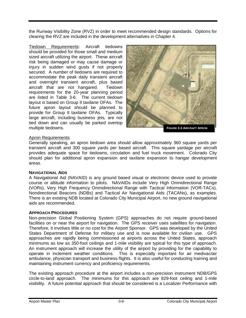the Runway Visibility Zone (RVZ) in order to meet recommended design standards. Options for clearing the RVZ are included in the development alternatives in Chapter 4.

Tiedown Requirements: Aircraft tiedowns should be provided for those small and medium sized aircraft utilizing the airport. These aircraft risk being damaged or may cause damage or injury in sudden wind gusts if not properly secured. A number of tiedowns are required to accommodate the peak daily transient aircraft and overnight transient aircraft, plus based aircraft that are not hangared. Tiedown requirements for the 20-year planning period are listed in Table 3-6. The current tiedown layout is based on Group II taxilane OFAs. The future apron layout should be planned to provide for Group II taxilane OFAs. Typically large aircraft, including business jets, are not tied down and can usually be parked overtop multiple tiedowns.



## Apron Requirements:

Generally speaking, an apron tiedown area should allow approximately 360 square yards per transient aircraft and 300 square yards per based aircraft. This square yardage per aircraft provides adequate space for tiedowns, circulation and fuel truck movement. Colorado City should plan for additional apron expansion and taxilane expansion to hangar development areas.

#### **NAVIGATIONAL AIDS**

A Navigational Aid (NAVAID) is any ground based visual or electronic device used to provide course or altitude information to pilots. NAVAIDs include Very High Omnidirectional Range (VORs), Very High Frequency Omnidirectional Range with Tactical Information (VOR-TACs), Nondirectional Beacons (NDBs) and Tactical Air Navigational Aids (TACANs), as examples. There is an existing NDB located at Colorado City Municipal Airport, no new ground navigational aids are recommended.

## **APPROACH PROCEDURES**

Non-precision Global Positioning System (GPS) approaches do not require ground-based facilities on or near the airport for navigation. The GPS receiver uses satellites for navigation. Therefore, it involves little or no cost for the Airport Sponsor. GPS was developed by the United States Department of Defense for military use and is now available for civilian use. GPS approaches are rapidly being commissioned at airports across the United States, approach minimums as low as 350-foot ceilings and 1-mile visibility are typical for this type of approach. An instrument approach will increase the utility of the airport by providing for the capability to operate in inclement weather conditions. This is especially important for air medivac/air ambulance, physician transport and business flights. It is also useful for conducting training and maintaining instrument currency and proficiency requirements.

The existing approach procedure at the airport includes a non-precision instrument NDB/GPS circle-to-land approach. The minimums for this approach are 829-foot ceiling and 1-mile visibility. A future potential approach that should be considered is a Localizer Performance with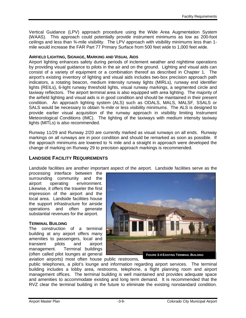Vertical Guidance (LPV) approach procedure using the Wide Area Augmentation System (WAAS). This approach could potentially provide instrument minimums as low as 200-foot ceilings and less than ¾-mile visibility. The LPV approach with visibility minimums less than 1 mile would increase the FAR Part 77 Primary Surface from 500 feet wide to 1,000 feet wide.

#### **AIRFIELD LIGHTING, SIGNAGE, MARKING AND VISUAL AIDS**

Airport lighting enhances safety during periods of inclement weather and nighttime operations by providing visual guidance to pilots in the air and on the ground. Lighting and visual aids can consist of a variety of equipment or a combination thereof as described in Chapter 1. The airport's existing inventory of lighting and visual aids includes two-box precision approach path indicators, a rotating beacon, medium intensity runway lights (MIRLs), runway end identifier lights (REILs), 6-light runway threshold lights, visual runway markings, a segmented circle and taxiway reflectors. The airport terminal area is also equipped with area lighting. The majority of the airfield lighting and visual aids is in good condition and should be maintained in their present condition. An approach lighting system (ALS) such as ODALS, MALS, MALSF, SSALS or SALS would be necessary to obtain 3/<sub>4</sub>-mile or less visibility minimums. The ALS is designed to provide earlier visual acquisition of the runway approach in visibility limiting Instrument Meteorological Conditions (IMC). The lighting of the taxiways with medium intensity taxiway lights (MITLs) is also recommended.

Runway 11/29 and Runway 2/20 are currently marked as visual runways on all ends. Runway markings on all runways are in poor condition and should be remarked as soon as possible. If the approach minimums are lowered to ¾ mile and a straight in approach were developed the change of marking on Runway 29 to precision approach markings is recommended.

## **LANDSIDE FACILITY REQUIREMENTS**

Landside facilities are another important aspect of the airport. Landside facilities serve as the

processing interface between the surrounding community and the airport operating environment. Likewise, it offers the traveler the first impression of the airport and the local area. Landside facilities house the support infrastructure for airside operations and often generate substantial revenues for the airport.

#### **TERMINAL BUILDING**

The construction of a terminal building at any airport offers many amenities to passengers, local and transient pilots and airport management. Terminal buildings (often called pilot lounges at general



aviation airports) most often house public restrooms, public telephones, a pilot's lounge and information regarding airport services. The terminal building includes a lobby area, restrooms, telephone, a flight planning room and airport management offices. The terminal building is well maintained and provides adequate space

and amenities to accommodate existing and long term demand. It is recommended that the RVZ clear the terminal building in the future to eliminate the existing nonstandard condition.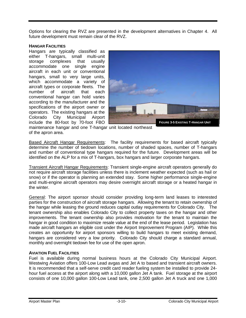Options for clearing the RVZ are presented in the development alternatives in Chapter 4. All future development must remain clear of the RVZ.

#### **HANGAR FACILITIES**

Hangars are typically classified as either T-hangars, small multi-unit storage complexes that usually accommodate one single engine aircraft in each unit or conventional hangars, small to very large units, which accommodate a variety of aircraft types or corporate fleets. The number of aircraft that each conventional hangar can hold varies according to the manufacturer and the specifications of the airport owner or operators. The existing hangars at the Colorado City Municipal Airport include the 80-foot by 70-foot FBO



maintenance hangar and one T-hangar unit located northeast of the apron area.

Based Aircraft Hangar Requirements: The facility requirements for based aircraft typically determine the number of tiedown locations, number of shaded spaces, number of T-hangars and number of conventional type hangars required for the future. Development areas will be identified on the ALP for a mix of T-hangars, box hangars and larger corporate hangars.

Transient Aircraft Hangar Requirements: Transient single-engine aircraft operators generally do not require aircraft storage facilities unless there is inclement weather expected (such as hail or snow) or if the operator is planning an extended stay. Some higher performance single-engine and multi-engine aircraft operators may desire overnight aircraft storage or a heated hangar in the winter.

General: The airport sponsor should consider providing long-term land leases to interested parties for the construction of aircraft storage hangars. Allowing the tenant to retain ownership of the hangar while leasing the ground reduces capital outlay requirements for Colorado City. The tenant ownership also enables Colorado City to collect property taxes on the hangar and other improvements. The tenant ownership also provides motivation for the tenant to maintain the hangar in good condition to maximize resale value at the end of the lease period. Legislation has made aircraft hangars an eligible cost under the Airport Improvement Program (AIP). While this creates an opportunity for airport sponsors willing to build hangars to meet existing demand, hangars are considered very a low priority. Colorado City should charge a standard annual, monthly and overnight tiedown fee for use of the open apron.

## **AVIATION FUEL FACILITIES**

Fuel is available during normal business hours at the Colorado City Municipal Airport. Westwing Aviation offers 100-Low Lead avgas and Jet A to based and transient aircraft owners. It is recommended that a self-serve credit card reader fueling system be installed to provide 24 hour fuel access at the airport along with a 10,000 gallon Jet A tank. Fuel storage at the airport consists of one 10,000 gallon 100-Low Lead tank, one 2,500 gallon Jet A truck and one 1,000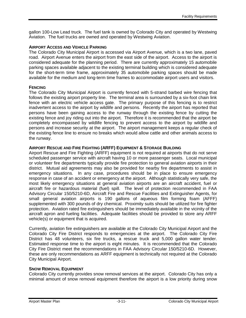gallon 100-Low Lead truck. The fuel tank is owned by Colorado City and operated by Westwing Aviation. The fuel trucks are owned and operated by Westwing Aviation.

#### **AIRPORT ACCESS AND VEHICLE PARKING**

The Colorado City Municipal Airport is accessed via Airport Avenue, which is a two lane, paved road. Airport Avenue enters the airport from the east side of the airport. Access to the airport is considered adequate for the planning period. There are currently approximately 15 automobile parking spaces available adjacent to the existing terminal building which is considered adequate for the short-term time frame, approximately 35 automobile parking spaces should be made available for the medium and long-term time frames to accommodate airport users and visitors.

#### **FENCING**

The Colorado City Municipal Airport is currently fenced with 5-strand barbed wire fencing that follows the existing airport property line. The terminal area is surrounded by a six-foot chain link fence with an electric vehicle access gate. The primary purpose of this fencing is to restrict inadvertent access to the airport by wildlife and persons. Recently the airport has reported that persons have been gaining access to the runway through the existing fence by cutting the existing fence and joy riding out into the airport. Therefore it is recommended that the airport be completely encompassed by wildlife fencing to prevent access to the airport by wildlife and persons and increase security at the airport. The airport management keeps a regular check of the existing fence line to ensure no breaks which would allow cattle and other animals access to the runway.

#### **AIRPORT RESCUE AND FIRE FIGHTING (ARFF) EQUIPMENT & STORAGE BUILDING**

Airport Rescue and Fire Fighting (ARFF) equipment is not required at airports that do not serve scheduled passenger service with aircraft having 10 or more passenger seats. Local municipal or volunteer fire departments typically provide fire protection to general aviation airports in their district. Mutual aid agreements may also be provided for nearby fire departments to assist in emergency situations. In any case, procedures should be in place to ensure emergency response in case of an accident or emergency at the airport. Although statistically very safe, the most likely emergency situations at general aviation airports are an aircraft accident, fuel or aircraft fire or hazardous material (fuel) spill. The level of protection recommended in FAA Advisory Circular 150/5210-6D, Aircraft Fire and Rescue Facilities and Extinguisher Agents, for small general aviation airports is 190 gallons of aqueous film forming foam (AFFF) supplemented with 300 pounds of dry chemical. Proximity suits should be utilized for fire fighter protection. Aviation rated fire extinguishers should be immediately available in the vicinity of the aircraft apron and fueling facilities. Adequate facilities should be provided to store any ARFF vehicle(s) or equipment that is acquired.

Currently, aviation fire extinguishers are available at the Colorado City Municipal Airport and the Colorado City Fire District responds to emergencies at the airport. The Colorado City Fire District has 48 volunteers, six fire trucks, a rescue truck and 5,000 gallon water tender. Estimated response time to the airport is eight minutes. It is recommended that the Colorado City Fire District meet the recommendations in FAA Advisory Circular 150/5210-6D. However, these are only recommendations as ARFF equipment is technically not required at the Colorado City Municipal Airport.

#### **SNOW REMOVAL EQUIPMENT**

Colorado City currently provides snow removal services at the airport. Colorado City has only a minimal amount of snow removal equipment therefore the airport is a low priority during snow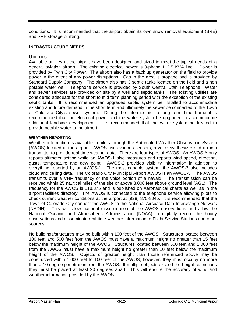conditions. It is recommended that the airport obtain its own snow removal equipment (SRE) and SRE storage building.

## **INFRASTRUCTURE NEEDS**

## **UTILITIES**

Available utilities at the airport have been designed and sized to meet the typical needs of a general aviation airport. The existing electrical power is 3-phase 112.5 KVA line. Power is provided by Twin City Power. The airport also has a back up generator on the field to provide power in the event of any power disruptions. Gas in the area is propane and is provided by Standard Supply Company. The airport also has 3 septic tanks located on the field and a non potable water well. Telephone service is provided by South Central Utah Telephone. Water and sewer services are provided on site by a well and septic tanks. The existing utilities are considered adequate for the short to mid term planning period with the exception of the existing septic tanks. It is recommended an upgraded septic system be installed to accommodate existing and future demand in the short term and ultimately the sewer be connected to the Town of Colorado City's sewer system. During the intermediate to long term time frame it is recommended that the electrical power and the water system be upgraded to accommodate additional landside development. It is recommended that the water system be treated to provide potable water to the airport.

## **WEATHER REPORTING**

Weather information is available to pilots through the Automated Weather Observation System (AWOS) located at the airport. AWOS uses various sensors, a voice synthesizer and a radio transmitter to provide real-time weather data. There are four types of AWOS. An AWOS-A only reports altimeter setting while an AWOS-1 also measures and reports wind speed, direction, gusts, temperature and dew point. AWOS-2 provides visibility information in addition to everything reported by an AWOS-1. The most capable system, the AWOS-3 also includes cloud and ceiling data. The Colorado City Municipal Airport AWOS is an AWOS-3. The AWOS transmits over a VHF frequency or the voice portion of a navaid. The transmission can be received within 25 nautical miles of the site or above 3,000 feet above ground level (AGL). The frequency for the AWOS is 118.375 and is published on Aeronautical charts as well as in the airport facilities directory. The AWOS is connected to the telephone service allowing pilots to check current weather conditions at the airport at (928) 875-8045. It is recommended that the Town of Colorado City connect the AWOS to the National Airspace Data Interchange Network (NADIN). This will allow national dissemination of the AWOS observations and allow the National Oceanic and Atmospheric Administration (NOAA) to digitally record the hourly observations and disseminate real-time weather information to Flight Service Stations and other sources.

No buildings/structures may be built within 100 feet of the AWOS. Structures located between 100 feet and 500 feet from the AWOS must have a maximum height no greater than 15 feet below the maximum height of the AWOS. Structures located between 500 feet and 1,000 feet from the AWOS must have a maximum height no greater than 10 feet below the maximum height of the AWOS. Objects of greater height than those referenced above may be constructed within 1,000 feet to 100 feet of the AWOS; however, they must occupy no more than a 10 degree penetration from the AWOS. If multiple objects exceed the height restrictions they must be placed at least 20 degrees apart. This will ensure the accuracy of wind and weather information provided by the AWOS.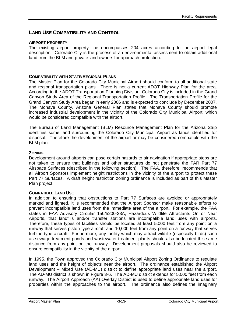## **LAND USE COMPATIBILITY AND CONTROL**

#### **AIRPORT PROPERTY**

The existing airport property line encompasses 204 acres according to the airport legal description. Colorado City is the process of an environmental assessment to obtain additional land from the BLM and private land owners for approach protection.

#### **COMPATIBILITY WITH STATE/REGIONAL PLANS**

The Master Plan for the Colorado City Municipal Airport should conform to all additional state and regional transportation plans. There is not a current ADOT Highway Plan for the area. According to the ADOT Transportation Planning Division, Colorado City is included in the Grand Canyon Study Area of the Regional Transportation Profile. The Transportation Profile for the Grand Canyon Study Area began in early 2006 and is expected to conclude by December 2007. The Mohave County, Arizona General Plan states that Mohave County should promote increased industrial development in the vicinity of the Colorado City Municipal Airport, which would be considered compatible with the airport.

The Bureau of Land Management (BLM) Resource Management Plan for the Arizona Strip identifies some land surrounding the Colorado City Municipal Airport as lands identified for disposal. Therefore the development of the airport or may be considered compatible with the BLM plan.

#### **ZONING**

Development around airports can pose certain hazards to air navigation if appropriate steps are not taken to ensure that buildings and other structures do not penetrate the FAR Part 77 Airspace Surfaces (described in the following section). The FAA, therefore, recommends that all Airport Sponsors implement height restrictions in the vicinity of the airport to protect these Part 77 Surfaces. A draft height restriction zoning ordinance is included as part of this Master Plan project.

#### **COMPATIBLE LAND USE**

In addition to ensuring that obstructions to Part 77 Surfaces are avoided or appropriately marked and lighted, it is recommended that the Airport Sponsor make reasonable efforts to prevent incompatible land uses from the immediate area of the airport. For example, the FAA states in FAA Advisory Circular 150/5200-33A, Hazardous Wildlife Attractants On or Near Airports, that landfills and/or transfer stations are incompatible land uses with airports. Therefore, these types of facilities should be located at least 5,000 feet from any point on a runway that serves piston type aircraft and 10,000 feet from any point on a runway that serves turbine type aircraft. Furthermore, any facility which may attract wildlife (especially birds) such as sewage treatment ponds and wastewater treatment plants should also be located this same distance from any point on the runway. Development proposals should also be reviewed to ensure compatibility in the vicinity of the airport.

In 1995, the Town approved the Colorado City Municipal Airport Zoning Ordinance to regulate land uses and the height of objects near the airport. The ordinance established the Airport Development – Mixed Use (AD-MU) district to define appropriate land uses near the airport. The AD-MU district is shown in Figure 3-6. The AD-MU district extends for 5,000 feet from each runway. The Airport Approach (AA) Overlay District is used to define appropriate land uses for properties within the approaches to the airport. The ordinance also defines the imaginary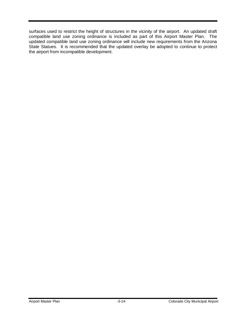surfaces used to restrict the height of structures in the vicinity of the airport. An updated draft compatible land use zoning ordinance is included as part of this Airport Master Plan. The updated compatible land use zoning ordinance will include new requirements from the Arizona State Statues. It is recommended that the updated overlay be adopted to continue to protect the airport from incompatible development.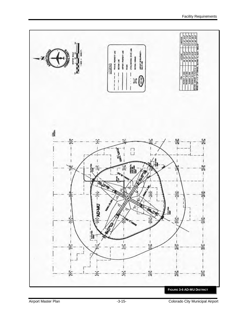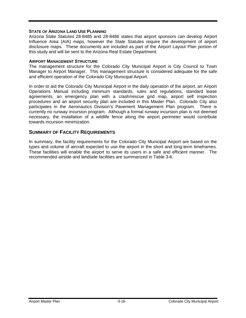#### **STATE OF ARIZONA LAND USE PLANNING**

Arizona State Statutes 28-8485 and 28-8486 states that airport sponsors can develop Airport Influence Area (AIA) maps, however the State Statutes require the development of airport disclosure maps. These documents are included as part of the Airport Layout Plan portion of this study and will be sent to the Arizona Real Estate Department.

#### **AIRPORT MANAGEMENT STRUCTURE**

The management structure for the Colorado City Municipal Airport is City Council to Town Manager to Airport Manager. This management structure is considered adequate for the safe and efficient operation of the Colorado City Municipal Airport.

In order to aid the Colorado City Municipal Airport in the daily operation of the airport, an Airport Operations Manual including minimum standards, rules and regulations, standard lease agreements, an emergency plan with a crash/rescue grid map, airport self inspection procedures and an airport security plan are included in this Master Plan. Colorado City also participates in the Aeronautics Division's Pavement Management Plan program. There is currently no runway incursion program. Although a formal runway incursion plan is not deemed necessary, the installation of a wildlife fence along the airport perimeter would contribute towards incursion minimization.

## **SUMMARY OF FACILITY REQUIREMENTS**

In summary, the facility requirements for the Colorado City Municipal Airport are based on the types and volume of aircraft expected to use the airport in the short and long-term timeframes. These facilities will enable the airport to serve its users in a safe and efficient manner. The recommended airside and landside facilities are summarized in Table 3-6.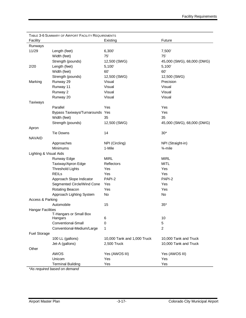|                          | TABLE 3-6 SUMMARY OF AIRPORT FACILITY REQUIREMENTS |                             |                            |
|--------------------------|----------------------------------------------------|-----------------------------|----------------------------|
| Facility                 |                                                    | Existing                    | Future                     |
| Runways                  |                                                    |                             |                            |
| 11/29                    | Length (feet)                                      | 6,300'                      | 7,500'                     |
|                          | Width (feet)                                       | 75'                         | 75'                        |
|                          | Strength (pounds)                                  | 12,500 (SWG)                | 45,000 (SWG), 68,000 (DWG) |
| 2/20                     | Length (feet)                                      | 5,100'                      | 5,100'                     |
|                          | Width (feet)                                       | 60'                         | 60'                        |
|                          | Strength (pounds)                                  | 12,500 (SWG)                | 12,500 (SWG)               |
| Marking                  | Runway 29                                          | Visual                      | Precision                  |
|                          | Runway 11                                          | Visual                      | Visual                     |
|                          | Runway 2                                           | Visual                      | Visual                     |
|                          | Runway 20                                          | Visual                      | Visual                     |
| Taxiways                 |                                                    |                             |                            |
|                          | Parallel                                           | Yes                         | Yes                        |
|                          | Bypass Taxiways/Turnarounds Yes                    |                             | Yes                        |
|                          | Width (feet)                                       | 35                          | 35                         |
|                          | Strength (pounds)                                  | 12,500 (SWG)                | 45,000 (SWG), 68,000 (DWG) |
| Apron                    |                                                    |                             |                            |
|                          | <b>Tie Downs</b>                                   | 14                          | $30*$                      |
| <b>NAVAID</b>            |                                                    |                             |                            |
|                          | Approaches                                         | NPI (Circling)              | NPI (Straight-in)          |
|                          | <b>Minimums</b>                                    | 1-Mile                      | $\frac{3}{4}$ -mile        |
| Lighting & Visual Aids   |                                                    |                             |                            |
|                          | Runway Edge                                        | <b>MIRL</b>                 | <b>MIRL</b>                |
|                          | Taxiway/Apron Edge                                 | Reflectors                  | <b>MITL</b>                |
|                          | <b>Threshold Lights</b>                            | Yes                         | Yes                        |
|                          | <b>REILs</b>                                       | Yes                         | Yes                        |
|                          | Approach Slope Indicator                           | PAPI-2                      | PAPI-2                     |
|                          | Segmented Circle/Wind Cone                         | Yes                         | Yes                        |
|                          | Rotating Beacon                                    | Yes                         | Yes                        |
|                          | Approach Lighting System                           | No                          | No                         |
| Access & Parking         |                                                    |                             |                            |
|                          | Automobile                                         | 15                          | $35*$                      |
| <b>Hangar Facilities</b> |                                                    |                             |                            |
|                          | T-Hangars or Small Box                             |                             |                            |
|                          | Hangars<br>Conventional-Small                      | 6<br>0                      | 10                         |
|                          | Conventional-Medium/Large                          | 1                           | 5<br>$\overline{c}$        |
| Fuel Storage             |                                                    |                             |                            |
|                          | 100 LL (gallons)                                   | 10,000 Tank and 1,000 Truck | 10,000 Tank and Truck      |
|                          | Jet-A (gallons)                                    | 2,500 Truck                 | 10,000 Tank and Truck      |
| Other                    |                                                    |                             |                            |
|                          | AWOS                                               | Yes (AWOS III)              | Yes (AWOS III)             |
|                          | Unicom                                             | Yes                         | Yes                        |
|                          | <b>Terminal Building</b>                           | Yes                         | Yes                        |
|                          |                                                    |                             |                            |

*\*As required based on demand*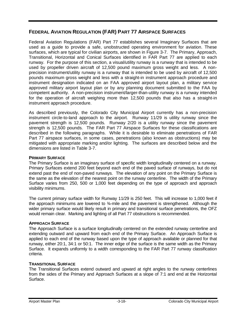## **FEDERAL AVIATION REGULATION (FAR) PART 77 AIRSPACE SURFACES**

Federal Aviation Regulations (FAR) Part 77 establishes several Imaginary Surfaces that are used as a guide to provide a safe, unobstructed operating environment for aviation. These surfaces, which are typical for civilian airports, are shown in Figure 3-7. The Primary, Approach, Transitional, Horizontal and Conical Surfaces identified in FAR Part 77 are applied to each runway. For the purpose of this section, a visual/utility runway is a runway that is intended to be used by propeller driven aircraft of 12,500 pound maximum gross weight and less. A nonprecision instrument/utility runway is a runway that is intended to be used by aircraft of 12,500 pounds maximum gross weight and less with a straight-in instrument approach procedure and instrument designation indicated on an FAA approved airport layout plan, a military service approved military airport layout plan or by any planning document submitted to the FAA by competent authority. A non-precision instrument/larger-than-utility runway is a runway intended for the operation of aircraft weighing more than 12,500 pounds that also has a straight-in instrument approach procedure.

As described previously, the Colorado City Municipal Airport currently has a non-precision instrument circle-to-land approach to the airport. Runway 11/29 is utility runway since the pavement strength is 12,500 pounds. Runway 2/20 is a utility runway since the pavement strength is 12,500 pounds. The FAR Part 77 Airspace Surfaces for these classifications are described in the following paragraphs. While it is desirable to eliminate penetrations of FAR Part 77 airspace surfaces, in some cases, penetrations (also known as obstructions) may be mitigated with appropriate marking and/or lighting. The surfaces are described below and the dimensions are listed in Table 3-7.

#### **PRIMARY SURFACE**

The Primary Surface is an imaginary surface of specific width longitudinally centered on a runway. Primary Surfaces extend 200 feet beyond each end of the paved surface of runways, but do not extend past the end of non-paved runways. The elevation of any point on the Primary Surface is the same as the elevation of the nearest point on the runway centerline. The width of the Primary Surface varies from 250, 500 or 1,000 feet depending on the type of approach and approach visibility minimums.

The current primary surface width for Runway 11/29 is 250 feet. This will increase to 1,000 feet if the approach minimums are lowered to  $\frac{3}{4}$ -mile and the pavement is strengthened. Although the wider primary surface would likely result in primary and transitional surface penetrations, the OFZ would remain clear. Marking and lighting of all Part 77 obstructions is recommended.

## **APPROACH SURFACE**

The Approach Surface is a surface longitudinally centered on the extended runway centerline and extending outward and upward from each end of the Primary Surface. An Approach Surface is applied to each end of the runway based upon the type of approach available or planned for that runway, either 20:1, 34:1 or 50:1. The inner edge of the surface is the same width as the Primary Surface. It expands uniformly to a width corresponding to the FAR Part 77 runway classification criteria.

#### **TRANSITIONAL SURFACE**

The Transitional Surfaces extend outward and upward at right angles to the runway centerlines from the sides of the Primary and Approach Surfaces at a slope of 7:1 and end at the Horizontal Surface.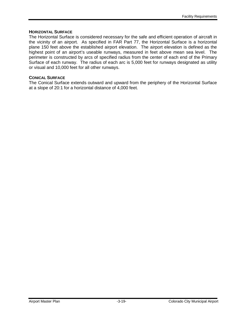#### **HORIZONTAL SURFACE**

The Horizontal Surface is considered necessary for the safe and efficient operation of aircraft in the vicinity of an airport. As specified in FAR Part 77, the Horizontal Surface is a horizontal plane 150 feet above the established airport elevation. The airport elevation is defined as the highest point of an airport's useable runways, measured in feet above mean sea level. The perimeter is constructed by arcs of specified radius from the center of each end of the Primary Surface of each runway. The radius of each arc is 5,000 feet for runways designated as utility or visual and 10,000 feet for all other runways.

#### **CONICAL SURFACE**

The Conical Surface extends outward and upward from the periphery of the Horizontal Surface at a slope of 20:1 for a horizontal distance of 4,000 feet.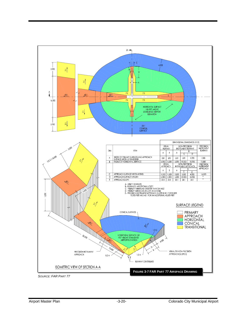